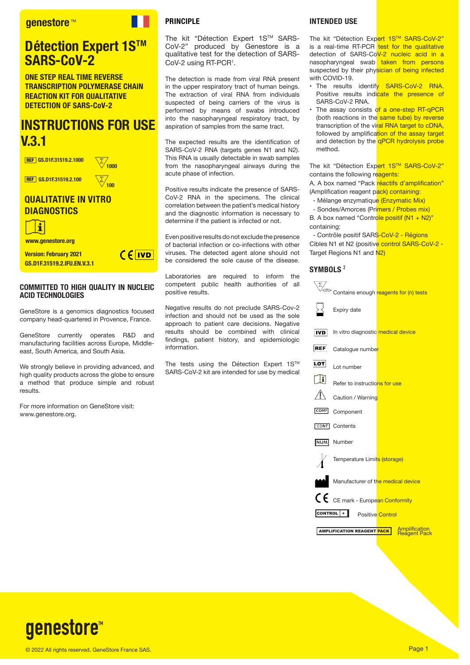#### **aenestore**™

### **Détection Expert 1S™ SARS-CoV-2**

**ONE STEP REAL TIME REVERSE TRANSCRIPTION POLYMERASE CHAIN REACTION KIT FOR QUALITATIVE DETECTION OF SARS-CoV-2**

## **INSTRUCTIONS FOR USE V.3.1**

/<br>1000

**100**

REF **GS.D1F.31519.2.1000**

REF **GS.D1F.31519.2.100**

#### **QUALITATIVE IN VITRO DIAGNOSTICS**



**www.genestore.org**

**Version: February 2021 GS.D1F.31519.2.IFU.EN.V.3.1**

# $CF$   $IVD$

#### **COMMITTED TO HIGH QUALITY IN NUCLEIC ACID TECHNOLOGIES**

GeneStore is a genomics diagnostics focused company head-quartered in Provence, France.

GeneStore currently operates R&D and manufacturing facilities across Europe, Middleeast, South America, and South Asia.

We strongly believe in providing advanced, and high quality products across the globe to ensure a method that produce simple and robust results.

For more information on GeneStore visit: www.genestore.org.

#### **PRINCIPLE**

The kit "Détection Expert 1S™ SARS-CoV-2" produced by Genestore is a qualitative test for the detection of SARS-CoV-2 using RT-PCR<sup>1</sup>.

The detection is made from viral RNA present in the upper respiratory tract of human beings. The extraction of viral RNA from individuals suspected of being carriers of the virus is performed by means of swabs introduced into the nasopharyngeal respiratory tract, by aspiration of samples from the same tract.

The expected results are the identification of SARS-CoV-2 RNA (targets genes N1 and N2). This RNA is usually detectable in swab samples from the nasopharyngeal airways during the acute phase of infection.

Positive results indicate the presence of SARS-CoV-2 RNA in the specimens. The clinical correlation between the patient's medical history and the diagnostic information is necessary to determine if the patient is infected or not.

Even positive results do not exclude the presence of bacterial infection or co-infections with other viruses. The detected agent alone should not be considered the sole cause of the disease.

Laboratories are required to inform the competent public health authorities of all positive results.

Negative results do not preclude SARS-Cov-2 infection and should not be used as the sole approach to patient care decisions. Negative results should be combined with clinical findings, patient history, and epidemiologic information.

The tests using the Détection Expert 1S™ SARS-CoV-2 kit are intended for use by medical

#### **INTENDED USE**

The kit "Détection Expert 1S™ SARS-CoV-2" is a real-time RT-PCR test for the qualitative detection of SARS-CoV-2 nucleic acid in a nasopharyngeal swab taken from persons suspected by their physician of being infected with COVID-19.

- The results identify SARS-CoV-2 RNA. Positive results indicate the presence of SARS-CoV-2 RNA.
- The assay consists of a one-step RT-qPCR (both reactions in the same tube) by reverse transcription of the viral RNA target to cDNA, followed by amplification of the assay target and detection by the **qPCR** hydrolysis probe method.

The kit "Détection Expert 1S™ SARS-CoV-2" contains the following reagents:

A. A box named "Pack réactifs d'amplification" (Amplification reagent pack) containing:

- Mélange enzymatique (Enzymatic Mix)
- Sondes/Amorces (Primers / Probes mix)

B. A box named "Controle positif  $(N1 + N2)$ " containing:

- Contrôle positif SARS-CoV-2 - Régions Cibles N1 et N2 (positive control SARS-CoV-2 -Target Regions N1 and N2)

#### **SYMBOLS** <sup>2</sup>

|                | ∑/<br><sup>√<n></n></sup> Contains enough <mark>reagents for (n) tests</mark> |                                             |
|----------------|-------------------------------------------------------------------------------|---------------------------------------------|
|                | Expiry date                                                                   |                                             |
| <b>IVD</b>     | In vitro diagnostic medical device                                            |                                             |
| <b>REF</b>     | Catalogue number                                                              |                                             |
| LOT            | Lot number                                                                    |                                             |
| ı              | Refer to instructions for use                                                 |                                             |
|                | Caution / Warning                                                             |                                             |
| COMP           | Component                                                                     |                                             |
| CONT           | Contents                                                                      |                                             |
| NUM.           | Number                                                                        |                                             |
|                | Temperature Limits (storage)                                                  |                                             |
|                | Manufacturer of the medical device                                            |                                             |
|                | CE cE mark - Europe <mark>an Conformity</mark>                                |                                             |
| <b>CONTROL</b> | <b>Positive</b> Control                                                       |                                             |
|                | AMPLIFICATION REAGENT <mark>PACK</mark>                                       | <b>Amplification</b><br><b>Reagent Pack</b> |
|                |                                                                               |                                             |

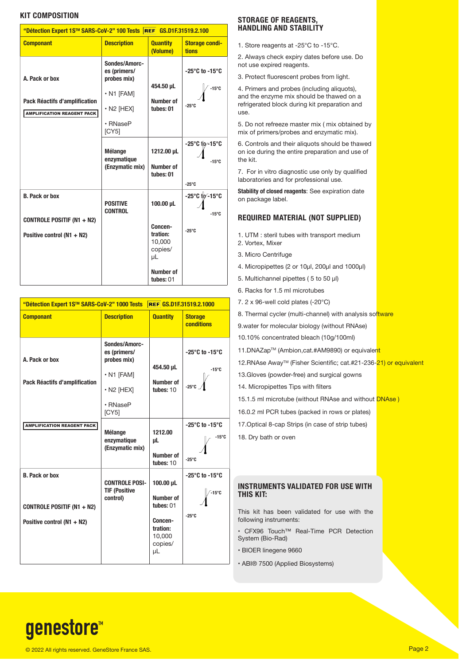#### **KIT COMPOSITION**

| "Détection Expert 1S™ SARS-CoV-2" 100 Tests REF GS.D1F.31519.2.100                       |                                                                                                           |                                                                                              |                                                                       |  |  |  |
|------------------------------------------------------------------------------------------|-----------------------------------------------------------------------------------------------------------|----------------------------------------------------------------------------------------------|-----------------------------------------------------------------------|--|--|--|
| <b>Componant</b>                                                                         | <b>Description</b>                                                                                        | <b>Quantity</b><br>(Volume)                                                                  | <b>Storage condi-</b><br><b>tions</b>                                 |  |  |  |
| A. Pack or box<br>Pack Réactifs d'amplification<br><b>AMPLIFICATION REAGENT PACK</b>     | Sondes/Amorc-<br>es (primers/<br>probes mix)<br>$\cdot$ N1 [FAM]<br>$\cdot$ N2 [HEX]<br>• RNaseP<br>[CY5] | 454.50 µL<br>Number of<br>tubes: 01                                                          | $-25^{\circ}$ C to $-15^{\circ}$ C<br>$-15^{\circ}C$<br>$-25^\circ$ C |  |  |  |
|                                                                                          | <b>Mélange</b><br>enzymatique<br>(Enzymatic mix)                                                          | 1212.00 µL<br>Number of<br>tubes: 01                                                         | -25°C (p-15°C<br>$-15^{\circ}$ C<br>$-25^\circ$ C                     |  |  |  |
| <b>B. Pack or box</b><br><b>CONTROLE POSITIF (N1 + N2)</b><br>Positive control (N1 + N2) | <b>POSITIVE</b><br><b>CONTROL</b>                                                                         | 100.00 µL<br>Concen-<br>tration:<br>10,000<br>copies/<br>μL<br><b>Number of</b><br>tubes: 01 | -25°C to -15°C<br>$-15^{\circ}$ C<br>$-25^\circ$ C                    |  |  |  |

| "Détection Expert 1S™ SARS-CoV-2" 1000 Tests                                             |                                                                                                                             | <b>REF GS.D1F.31519.2.1000</b>                                                        |                                                                         |
|------------------------------------------------------------------------------------------|-----------------------------------------------------------------------------------------------------------------------------|---------------------------------------------------------------------------------------|-------------------------------------------------------------------------|
| <b>Componant</b>                                                                         | <b>Description</b>                                                                                                          | <b>Quantity</b>                                                                       | <b>Storage</b><br><b>conditions</b>                                     |
| A. Pack or box<br>Pack Réactifs d'amplification                                          | Sondes/Amorc-<br>es (primers/<br>probes mix)<br>$\cdot$ N1 [FAM]<br>$\cdot$ N <sub>2</sub> [HEX]<br>$\cdot$ RNaseP<br>[CY5] | 454.50 µL<br>Number of<br>tubes: $10$                                                 | $-25^{\circ}$ C to $-15^{\circ}$ C<br>$-15^{\circ}C$<br>$-25^{\circ}$ C |
| <b>AMPLIFICATION REAGENT PACK</b>                                                        | <b>Mélange</b><br>enzymatique<br>(Enzymatic mix)                                                                            | 1212.00<br>μL<br>Number of<br>tubes: $10$                                             | $-25^{\circ}$ C to $-15^{\circ}$ C<br>$-15^{\circ}$ C<br>$-25^{\circ}C$ |
| <b>B. Pack or box</b><br><b>CONTROLE POSITIF (N1 + N2)</b><br>Positive control (N1 + N2) | <b>CONTROLE POSI-</b><br><b>TIF (Positive</b><br>control)                                                                   | 100.00 µL<br>Number of<br>tubes: 01<br>Concen-<br>tration:<br>10,000<br>copies/<br>μL | $-25^{\circ}$ C to $-15^{\circ}$ C<br>$-15^{\circ}$ C<br>$-25^{\circ}C$ |

#### **STORAGE OF REAGENTS, HANDLING AND STABILITY**

1. Store reagents at -25°C to -15°C.

2. Always check expiry dates before use. Do not use expired reagents.

3. Protect fluorescent probes from light.

4. Primers and probes (including aliquots), and the enzyme mix should be thawed on a refrigerated block during kit preparation and use.

5. Do not refreeze master mix ( mix obtained by mix of primers/probes and enzymatic mix).

6. Controls and their aliquots should be thawed on ice during the entire preparation and use of the kit.

7. For in vitro diagnostic use only by qualified laboratories and for professional use.

**Stability of closed reagents**: See expiration date on package label.

#### **REQUIRED MATERIAL (NOT SUPPLIED)**

- 1. UTM : steril tubes with transport medium
- 2. Vortex, Mixer
- 3. Micro Centrifuge
- 4. Micropipettes (2 or 10μl, 200μl and 1000μl)
- 5. Multichannel pipettes ( 5 to 50 μl)
- 6. Racks for 1.5 ml microtubes
- 7. 2 x 96-well cold plates (-20°C)

8. Thermal cycler (multi-channel) with analysis software

9.water for molecular biology (without RNAse)

10.10% concentrated bleach (10g/100ml)

11.DNAZap™ (Ambion,cat.#AM9890) or equivalent

12.RNAse Away™ (Fisher Scientific; cat.#21-236-21) or equivalent

13.Gloves (powder-free) and surgical gowns

14. Micropipettes Tips with filters

15.1.5 ml microtube (without RNAse and without **DNAse)** 

16.0.2 ml PCR tubes (packed in rows or plates)

17.Optical 8-cap Strips (in case of strip tubes)

18. Dry bath or oven

#### **INSTRUMENTS VALIDATED FOR USE WITH THIS KIT:**

This kit has been validated for use with the following instruments:

- CFX96 Touch™ Real-Time PCR Detection System (Bio-Rad)
- BIOER linegene 9660
- ABI® 7500 (Applied Biosystems)

# genestore<sup>™</sup>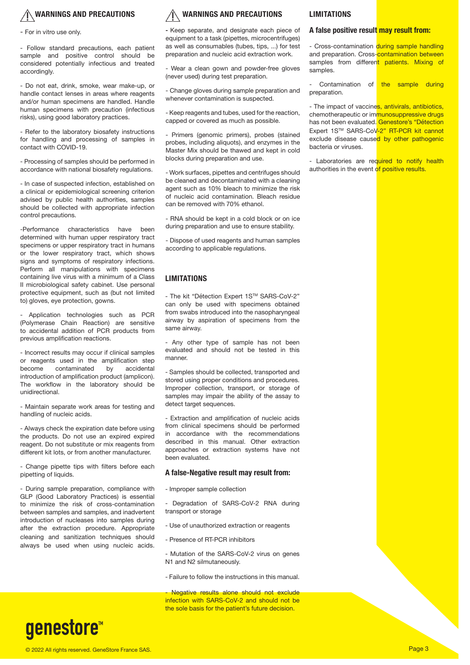### **WARNINGS AND PRECAUTIONS**

- For in vitro use only.

- Follow standard precautions, each patient sample and positive control should be considered potentially infectious and treated accordingly.

- Do not eat, drink, smoke, wear make-up, or handle contact lenses in areas where reagents and/or human specimens are handled. Handle human specimens with precaution (infectious risks), using good laboratory practices.

- Refer to the laboratory biosafety instructions for handling and processing of samples in contact with COVID-19.

- Processing of samples should be performed in accordance with national biosafety regulations.

- In case of suspected infection, established on a clinical or epidemiological screening criterion advised by public health authorities, samples should be collected with appropriate infection control precautions.

-Performance characteristics have been determined with human upper respiratory tract specimens or upper respiratory tract in humans or the lower respiratory tract, which shows signs and symptoms of respiratory infections. Perform all manipulations with specimens containing live virus with a minimum of a Class II microbiological safety cabinet. Use personal protective equipment, such as (but not limited to) gloves, eye protection, gowns.

Application technologies such as PCR (Polymerase Chain Reaction) are sensitive to accidental addition of PCR products from previous amplification reactions.

- Incorrect results may occur if clinical samples or reagents used in the amplification step<br>become contaminated by accidental contaminated introduction of amplification product (amplicon). The workflow in the laboratory should be unidirectional.

- Maintain separate work areas for testing and handling of nucleic acids.

- Always check the expiration date before using the products. Do not use an expired expired reagent. Do not substitute or mix reagents from different kit lots, or from another manufacturer.

- Change pipette tips with filters before each pipetting of liquids.

- During sample preparation, compliance with GLP (Good Laboratory Practices) is essential to minimize the risk of cross-contamination between samples and samples, and inadvertent introduction of nucleases into samples during after the extraction procedure. Appropriate cleaning and sanitization techniques should always be used when using nucleic acids.

#### **WARNINGS AND PRECAUTIONS**

**-** Keep separate, and designate each piece of equipment to a task (pipettes, microcentrifuges) as well as consumables (tubes, tips, ...) for test preparation and nucleic acid extraction work.

- Wear a clean gown and powder-free gloves (never used) during test preparation.

- Change gloves during sample preparation and whenever contamination is suspected.

- Keep reagents and tubes, used for the reaction, capped or covered as much as possible.

- Primers (genomic primers), probes (stained probes, including aliquots), and enzymes in the Master Mix should be thawed and kept in cold blocks during preparation and use.

- Work surfaces, pipettes and centrifuges should be cleaned and decontaminated with a cleaning agent such as 10% bleach to minimize the risk of nucleic acid contamination. Bleach residue can be removed with 70% ethanol.

- RNA should be kept in a cold block or on ice during preparation and use to ensure stability.

- Dispose of used reagents and human samples according to applicable regulations.

#### **LIMITATIONS**

- The kit "Détection Expert 1STM SARS-CoV-2" can only be used with specimens obtained from swabs introduced into the nasopharyngeal airway by aspiration of specimens from the same airway.

- Any other type of sample has not been evaluated and should not be tested in this manner.

- Samples should be collected, transported and stored using proper conditions and procedures. Improper collection, transport, or storage of samples may impair the ability of the assay to detect target sequences.

- Extraction and amplification of nucleic acids from clinical specimens should be performed in accordance with the recommendations described in this manual. Other extraction approaches or extraction systems have not been evaluated.

#### **A false-Negative result may result from:**

- Improper sample collection

- Degradation of SARS-CoV-2 RNA during transport or storage

- Use of unauthorized extraction or reagents

- Presence of RT-PCR inhibitors

- Mutation of the SARS-CoV-2 virus on genes N1 and N2 silmutaneously.

- Failure to follow the instructions in this manual.

Negative results alone should not exclude infection with SARS-CoV-2 and should not be the sole basis for the patient's future decision.

#### **LIMITATIONS**

#### **A false positive result may result from:**

- Cross-contamination during sample handling and preparation. Cross-contamination between samples from different patients. Mixing of samples.

Contamination of the sample during preparation.

- The impact of vaccines, antivirals, antibiotics, chemotherapeutic or immunosuppressive drugs has not been evaluated. Genestore's "Détection Expert 1STM SARS-CoV-2" RT-PCR kit cannot exclude disease caused by other pathogenic bacteria or viruses.

- Laboratories are required to notify health authorities in the event of positive results.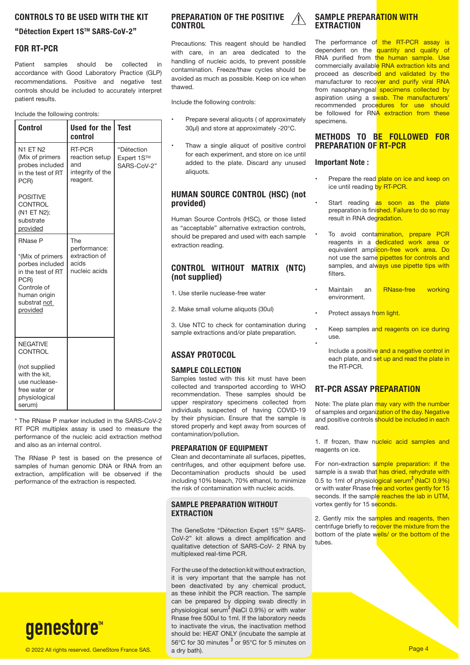#### **CONTROLS TO BE USED WITH THE KIT**

#### **"Détection Expert 1STM SARS-CoV-2"**

#### **FOR RT-PCR**

Patient samples should be collected in accordance with Good Laboratory Practice (GLP) recommendations. Positive and negative test controls should be included to accurately interpret patient results.

Include the following controls:

| <b>Control</b>                                                                                                                                | Used for the<br>control                                         | <b>Test</b>                             |
|-----------------------------------------------------------------------------------------------------------------------------------------------|-----------------------------------------------------------------|-----------------------------------------|
| N1 ET N2<br>(Mix of primers<br>probes included<br>in the test of RT<br>PCR)                                                                   | RT-PCR<br>reaction setup<br>and<br>integrity of the<br>reagent. | "Détection<br>Expert 1S™<br>SARS-CoV-2" |
| <b>POSITIVE</b><br><b>CONTROL</b><br>(N1 ET N2):<br>substrate<br>provided                                                                     |                                                                 |                                         |
| <b>RNase P</b><br>*(Mix of primers<br>porbes included<br>in the test of RT<br>PCR)<br>Controle of<br>human origin<br>substrat not<br>provided | The<br>performance:<br>extraction of<br>acids<br>nucleic acids  |                                         |
| <b>NEGATIVE</b><br><b>CONTROL</b><br>(not supplied<br>with the kit,<br>use nuclease-<br>free water or<br>physiological<br>serum)              |                                                                 |                                         |

\* The RNase P marker included in the SARS-CoV-2 RT PCR multiplex assay is used to measure the performance of the nucleic acid extraction method and also as an internal control.

The RNase P test is based on the presence of samples of human genomic DNA or RNA from an extraction, amplification will be observed if the performance of the extraction is respected.



#### **PREPARATION OF THE POSITIVE CONTROL**

Precautions: This reagent should be handled with care, in an area dedicated to the handling of nucleic acids, to prevent possible contamination. Freeze/thaw cycles should be avoided as much as possible. Keep on ice when thawed.

Include the following controls:

- Prepare several aliquots ( of approximately 30μl) and store at approximately -20°C.
- Thaw a single aliquot of positive control for each experiment, and store on ice until added to the plate. Discard any unused aliquots.

#### **HUMAN SOURCE CONTROL (HSC) (not provided)**

Human Source Controls (HSC), or those listed as "acceptable" alternative extraction controls, should be prepared and used with each sample extraction reading.

#### **CONTROL WITHOUT MATRIX (NTC) (not supplied)**

1. Use sterile nuclease-free water

2. Make small volume aliquots (30ul)

3. Use NTC to check for contamination during sample extractions and/or plate preparation.

#### **ASSAY PROTOCOL**

#### **SAMPLE COLLECTION**

Samples tested with this kit must have been collected and transported according to WHO recommendation. These samples should be upper respiratory specimens collected from individuals suspected of having COVID-19 by their physician. Ensure that the sample is stored properly and kept away from sources of contamination/pollution.

#### **PREPARATION OF EQUIPMENT**

Clean and decontaminate all surfaces, pipettes, centrifuges, and other equipment before use. Decontamination products should be used including 10% bleach, 70% ethanol, to minimize the risk of contamination with nucleic acids.

#### **SAMPLE PREPARATION WITHOUT EXTRACTION**

The GeneSotre "Détection Expert 1S™ SARS-CoV-2" kit allows a direct amplification and qualitative detection of SARS-CoV- 2 RNA by multiplexed real-time PCR.

© 2022 All rights reserved. GeneStore France SAS. Page 4 and rotation of the Control of the Control of the Control of the Page 4 For the use of the detection kit without extraction, it is very important that the sample has not been deactivated by any chemical product, as these inhibit the PCR reaction. The sample can be prepared by dipping swab directly in physiological serum<sup>3</sup> (NaCl 0.9%) or with water Rnase free 500ul to 1ml. If the laboratory needs to inactivate the virus, the inactivation method should be: HEAT ONLY (incubate the sample at  $56^{\circ}$ C for 30 minutes  $^{3}$  or 95 $^{\circ}$ C for 5 minutes on a dry bath).

#### **SAMPLE PREPARATION WITH EXTRACTION**

The performance of the RT-PCR assay is dependent on the quantity and quality of RNA purified from the human sample. Use commercially available RNA extraction kits and proceed as described and validated by the manufacturer to recover and purify viral RNA from nasopharyngeal specimens collected by aspiration using a swab. The manufacturers' recommended procedures for use should be followed for RNA extraction from these specimens.

#### **METHODS TO BE FOLLOWED FOR PREPARATION OF RT-PCR**

#### **Important Note :**

- Prepare the read plate on ice and keep on ice until reading by RT-PCR.
- Start reading as soon as the plate preparation is finished. Failure to do so may result in RNA degradation.
- To avoid contamination, prepare PCR reagents in a dedicated work area or equivalent amplicon-free work area. Do not use the same pipettes for controls and samples, and always use pipette tips with filters.
- Maintain an RNase-free working environment.
- Protect assays from light.

•

- Keep samples and reagents on ice during use.
	- Include a positive and a negative control in each plate, and set up and read the plate in the RT-PCR.

#### **RT-PCR ASSAY PREPARATION**

Note: The plate plan may vary with the number of samples and organization of the day. Negative and positive controls should be included in each read.

1. If frozen, thaw nucleic acid samples and reagents on ice.

For non-extraction sample preparation: if the sample is a swab that has dried, rehydrate with 0.5 to 1ml of physiological serum<sup>3</sup> (NaCl 0.9%) or with water Rnase free and vortex gently for 15 seconds. If the sample reaches the lab in UTM, vortex gently for 15 seconds.

2. Gently mix the samples and reagents, then centrifuge briefly to recover the mixture from the bottom of the plate wells/ or the bottom of the tubes.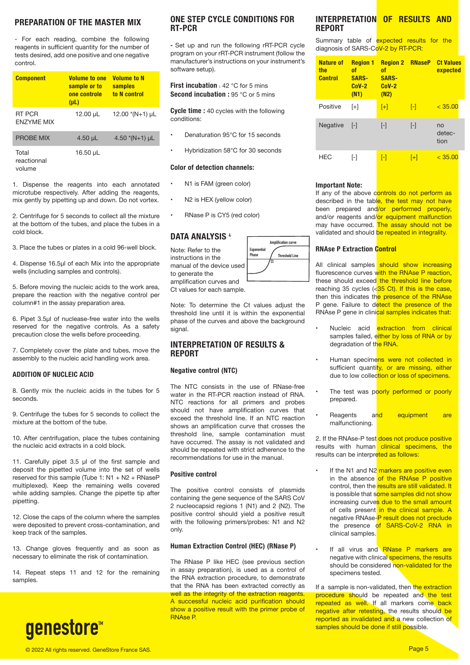#### **PREPARATION OF THE MASTER MIX**

- For each reading, combine the following reagents in sufficient quantity for the number of tests desired, add one positive and one negative control.

| <b>Component</b>               | <b>Volume to one</b><br>sample or to<br>one controle<br>$(\mu L)$ | <b>Volume to N</b><br>samples<br>to N control |
|--------------------------------|-------------------------------------------------------------------|-----------------------------------------------|
| RT PCR<br><b>FNZYMF MIX</b>    | 12.00 µL                                                          | 12.00 $*(N+1)$ µL                             |
| <b>PROBE MIX</b>               | $4.50 \mu L$                                                      | 4.50 $*(N+1)$ µL                              |
| Total<br>reactionnal<br>volume | 16.50 µL                                                          |                                               |

1. Dispense the reagents into each annotated microtube respectively. After adding the reagents, mix gently by pipetting up and down. Do not vortex.

2. Centrifuge for 5 seconds to collect all the mixture at the bottom of the tubes, and place the tubes in a cold block.

3. Place the tubes or plates in a cold 96-well block.

4. Dispense 16.5μl of each Mix into the appropriate wells (including samples and controls).

5. Before moving the nucleic acids to the work area, prepare the reaction with the negative control per column#1 in the assay preparation area.

6. Pipet 3.5μl of nuclease-free water into the wells reserved for the negative controls. As a safety precaution close the wells before proceeding.

7. Completely cover the plate and tubes, move the assembly to the nucleic acid handling work area.

#### **ADDITION OF NUCLEIC ACID**

8. Gently mix the nucleic acids in the tubes for 5 seconds.

9. Centrifuge the tubes for 5 seconds to collect the mixture at the bottom of the tube.

10. After centrifugation, place the tubes containing the nucleic acid extracts in a cold block.

11. Carefully pipet 3.5 μl of the first sample and deposit the pipetted volume into the set of wells reserved for this sample (Tube 1:  $N1 + N2 + RNaseP$ multiplexed). Keep the remaining wells covered while adding samples. Change the pipette tip after pipetting.

12. Close the caps of the column where the samples were deposited to prevent cross-contamination, and keep track of the samples.

13. Change gloves frequently and as soon as necessary to eliminate the risk of contamination.

14. Repeat steps 11 and 12 for the remaining samples.



#### **ONE STEP CYCLE CONDITIONS FOR RT-PCR**

**-** Set up and run the following rRT-PCR cycle program on your rRT-PCR instrument (follow the manufacturer's instructions on your instrument's software setup).

**First incubation** : 42 °C for 5 mins **Second incubation :** 95 °C or 5 mins

**Cycle time :** 40 cycles with the following conditions:

- Denaturation 95°C for 15 seconds
- Hybridization 58°C for 30 seconds

#### **Color of detection channels:**

- N1 is FAM (green color)
- N2 is HEX (yellow color)
- RNase P is CY5 (red color)

#### **DATA ANALYSIS** <sup>4</sup>

Note: Refer to the instructions in the manual of the device used to generate the amplification curves and

Ct values for each sample.

Note: To determine the Ct values adjust the threshold line until it is within the exponential phase of the curves and above the background signal.

#### **INTERPRETATION OF RESULTS & REPORT**

#### **Negative control (NTC)**

The NTC consists in the use of RNase-free water in the RT-PCR reaction instead of RNA. NTC reactions for all primers and probes should not have amplification curves that exceed the threshold line. If an NTC reaction shows an amplification curve that crosses the threshold line, sample contamination must have occurred. The assay is not validated and should be repeated with strict adherence to the recommendations for use in the manual.

#### **Positive control**

The positive control consists of plasmids containing the gene sequence of the SARS CoV 2 nucleocapsid regions 1 (N1) and 2 (N2). The positive control should yield a positive result with the following primers/probes: N1 and N2 only.

#### **Human Extraction Control (HEC) (RNase P)**

The RNase P like HEC (see previous section in assay preparation), is used as a control of the RNA extraction procedure, to demonstrate that the RNA has been extracted correctly as well as the integrity of the extraction reagents. A successful nucleic acid purification should show a positive result with the primer probe of RNAse P.

#### **INTERPRETATION OF RESULTS AND REPORT**

Summary table of expected results for the diagnosis of SARS-CoV-2 by RT-PCR:

| <b>Nature of</b><br>the<br><b>Control</b> | <b>Region 1</b><br>0f<br><b>SARS-</b><br>$CoV-2$<br>(N1) | <b>Region 2 RNaseP</b><br>0f<br><b>SARS-</b><br>$CoV-2$<br>(N2) |                   | <b>Ct Values</b><br>expected |
|-------------------------------------------|----------------------------------------------------------|-----------------------------------------------------------------|-------------------|------------------------------|
| Positive                                  | $[+]$                                                    | $[+]$                                                           | H                 | < 35.00                      |
| Negative                                  | $\lceil - \rceil$                                        | $\lceil - \rceil$                                               | $\lceil - \rceil$ | no<br>detec-<br>tion         |
| <b>HEC</b>                                | [-]                                                      | I-l                                                             | [+]               | $<$ 35.00                    |

#### **Important Note:**

If any of the above controls do not perform as described in the table, the test may not have been prepared and/or performed properly, and/or reagents and/or equipment malfunction may have occurred. The assay should not be validated and should be repeated in integrality.

#### **RNAse P Extraction Control**

All clinical samples should show increasing fluorescence curves with the RNAse P reaction, these should exceed the threshold line before reaching 35 cycles  $\langle$  35 Ct). If this is the case, then this indicates the presence of the RNAse P gene. Failure to detect the presence of the RNAse P gene in clinical samples indicates that:

- Nucleic acid **extraction from clinical** samples failed, either by loss of RNA or by degradation of the RNA.
- Human specimens were not collected in sufficient quantity, or are missing, either due to low collection or loss of specimens.
- The test was poorly performed or poorly prepared.
- Reagents and equipment are malfunctioning.

2. If the RNAse-P test does not produce positive results with human clinical specimens, the results can be interpreted as follows:

- If the N1 and N2 markers are positive even in the absence of the RNAse P positive control, then the results are still validated. It is possible that some samples did not show increasing curves due to the small amount of cells present in the clinical sample. A negative RNAse-P result does not preclude the presence of SARS-CoV-2 RNA in clinical samples.
- If all virus and RNase P markers are negative with clinical specimens, the results should be considered non-validated for the specimens tested.

If a sample is non-validated, then the extraction procedure should be repeated and the test repeated as well. If all markers come back negative after retesting, the results should be reported as invalidated and a new collection of samples should be done if still possible.

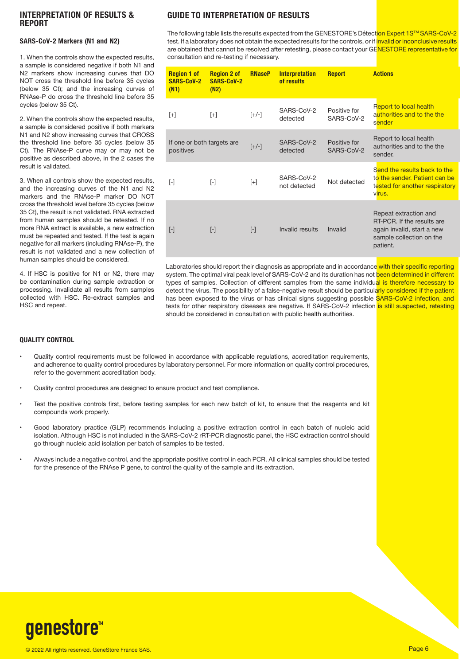#### **INTERPRETATION OF RESULTS & REPORT**

#### **SARS-CoV-2 Markers (N1 and N2)**

1. When the controls show the expected results, a sample is considered negative if both N1 and N2 markers show increasing curves that DO NOT cross the threshold line before 35 cycles (below 35 Ct); and the increasing curves of RNAse-P do cross the threshold line before 35 cycles (below 35 Ct).

2. When the controls show the expected results, a sample is considered positive if both markers N1 and N2 show increasing curves that CROSS the threshold line before 35 cycles (below 35 Ct). The RNAse-P curve may or may not be positive as described above, in the 2 cases the result is validated.

3. When all controls show the expected results, and the increasing curves of the N1 and N2 markers and the RNAse-P marker DO NOT cross the threshold level before 35 cycles (below 35 Ct), the result is not validated. RNA extracted from human samples should be retested. If no more RNA extract is available, a new extraction must be repeated and tested. If the test is again negative for all markers (including RNAse-P), the result is not validated and a new collection of human samples should be considered.

4. If HSC is positive for N1 or N2, there may be contamination during sample extraction or processing. Invalidate all results from samples collected with HSC. Re-extract samples and HSC and repeat.

#### **GUIDE TO INTERPRETATION OF RESULTS**

The following table lists the results expected from the GENESTORE's Détection Expert 1S™ SARS-CoV-2 test. If a laboratory does not obtain the expected results for the controls, or if invalid or inconclusive results are obtained that cannot be resolved after retesting, please contact your GENESTORE representative for consultation and re-testing if necessary.

| <b>Region 1 of</b><br><b>SARS-CoV-2</b><br>(N1) | <b>Region 2 of</b><br><b>SARS-CoV-2</b><br>(N2) | <b>RNaseP</b> | <b>Interpretation</b><br>of results | <b>Report</b>              | <b>Actions</b>                                                                                                            |
|-------------------------------------------------|-------------------------------------------------|---------------|-------------------------------------|----------------------------|---------------------------------------------------------------------------------------------------------------------------|
| $[+]$                                           | $[+]$                                           | $[+/$         | SARS-CoV-2<br>detected              | Positive for<br>SARS-CoV-2 | Report to local health<br>authorities and to the the<br>sender                                                            |
| If one or both targets are<br>positives         |                                                 | $[+/$         | SARS-CoV-2<br>detected              | Positive for<br>SARS-CoV-2 | Report to local health<br>authorities and to the the<br>sender.                                                           |
| $[\cdot]$                                       | $[\cdot]$                                       | $[+]$         | SARS-CoV-2<br>not detected          | Not detected               | Send the results back to the<br>to the sender. Patient can be<br>tested for another respiratory<br>virus.                 |
| $[\cdot]$                                       | $\lceil - \rceil$                               | $[\cdot]$     | Invalid results                     | Invalid                    | Repeat extraction and<br>RT-PCR. If the results are<br>again invalid, start a new<br>sample collection on the<br>patient. |

Laboratories should report their diagnosis as appropriate and in accordance with their specific reporting system. The optimal viral peak level of SARS-CoV-2 and its duration has not been determined in different types of samples. Collection of different samples from the same individual is therefore necessary to detect the virus. The possibility of a false-negative result should be particularly considered if the patient has been exposed to the virus or has clinical signs suggesting possible SARS-CoV-2 infection, and tests for other respiratory diseases are negative. If SARS-CoV-2 infection is still suspected, retesting should be considered in consultation with public health authorities.

#### **QUALITY CONTROL**

- Quality control requirements must be followed in accordance with applicable regulations, accreditation requirements, and adherence to quality control procedures by laboratory personnel. For more information on quality control procedures, refer to the government accreditation body.
- Quality control procedures are designed to ensure product and test compliance.
- Test the positive controls first, before testing samples for each new batch of kit, to ensure that the reagents and kit compounds work properly.
- Good laboratory practice (GLP) recommends including a positive extraction control in each batch of nucleic acid isolation. Although HSC is not included in the SARS-CoV-2 rRT-PCR diagnostic panel, the HSC extraction control should go through nucleic acid isolation per batch of samples to be tested.
- Always include a negative control, and the appropriate positive control in each PCR. All clinical samples should be tested for the presence of the RNAse P gene, to control the quality of the sample and its extraction.

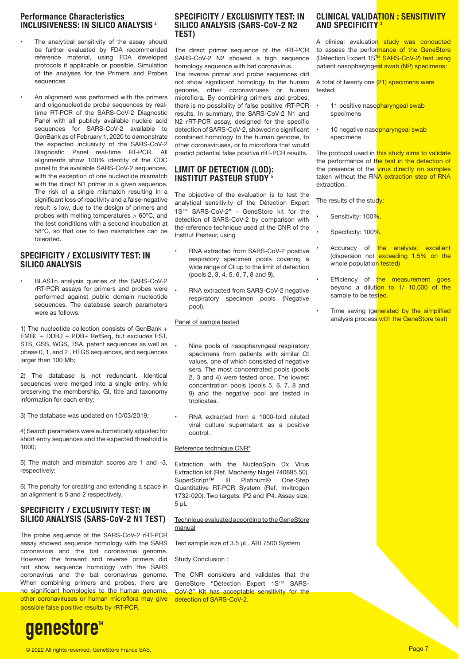#### **Performance Characteristics INCLUSIVENESS: IN SILICO ANALYSIS** <sup>4</sup>

- The analytical sensitivity of the assay should be further evaluated by FDA recommended reference material, using FDA developed protocols if applicable or possible. Simulation of the analyses for the Primers and Probes sequences.
- An alignment was performed with the primers and oligonucleotide probe sequences by realtime RT-PCR of the SARS-CoV-2 Diagnostic Panel with all publicly available nucleic acid sequences for SARS-CoV-2 available to GenBank as of February 1, 2020 to demonstrate the expected inclusivity of the SARS-CoV-2 Diagnostic Panel real-time RT-PCR. All alignments show 100% identity of the CDC panel to the available SARS-CoV-2 sequences, with the exception of one nucleotide mismatch with the direct N1 primer in a given sequence. The risk of a single mismatch resulting in a significant loss of reactivity and a false-negative result is low, due to the design of primers and probes with melting temperatures > 60°C, and the test conditions with a second incubation at 58°C, so that one to two mismatches can be tolerated.

#### **SPECIFICITY / EXCLUSIVITY TEST: IN SILICO ANALYSIS**

• BLASTn analysis queries of the SARS-CoV-2 rRT-PCR assays for primers and probes were performed against public domain nucleotide sequences. The database search parameters were as follows:

1) The nucleotide collection consists of GenBank + EMBL + DDBJ + PDB+ RefSeq, but excludes EST, STS, GSS, WGS, TSA, patent sequences as well as phase 0, 1, and 2 , HTGS sequences, and sequences larger than 100 Mb;

2) The database is not redundant. Identical sequences were merged into a single entry, while preserving the membership, GI, title and taxonomy information for each entry;

3) The database was updated on 10/03/2019;

4) Search parameters were automatically adjusted for short entry sequences and the expected threshold is 1000;

5) The match and mismatch scores are 1 and -3, respectively;

6) The penalty for creating and extending a space in an alignment is 5 and 2 respectively.

#### **SPECIFICITY / EXCLUSIVITY TEST: IN SILICO ANALYSIS (SARS-CoV-2 N1 TEST)**

The probe sequence of the SARS-CoV-2 rRT-PCR assay showed sequence homology with the SARS coronavirus and the bat coronavirus genome. However, the forward and reverse primers did not show sequence homology with the SARS coronavirus and the bat coronavirus genome. When combining primers and probes, there are no significant homologies to the human genome, other coronaviruses or human microflora may give possible false positive results by rRT-PCR.

#### **SPECIFICITY / EXCLUSIVITY TEST: IN SILICO ANALYSIS (SARS-CoV-2 N2 TEST)**

The direct primer sequence of the rRT-PCR SARS-CoV-2 N2 showed a high sequence homology sequence with bat coronavirus. The reverse primer and probe sequences did not show significant homology to the human genome, other coronaviruses or human microflora. By combining primers and probes, there is no possibility of false positive rRT-PCR results. In summary, the SARS-CoV-2 N1 and N2 rRT-PCR assay, designed for the specific detection of SARS-CoV-2, showed no significant combined homology to the human genome, to other coronaviruses, or to microflora that would predict potential false positive rRT-PCR results.

#### **LIMIT OF DETECTION (LOD): INSTITUT PASTEUR STILDY**<sup>5</sup>

The objective of the evaluation is to test the analytical sensitivity of the Détection Expert 1STM SARS-CoV-2" - GeneStore kit for the detection of SARS-CoV-2 by comparison with the reference technique used at the CNR of the Institut Pasteur, using

- RNA extracted from SARS-CoV-2 positive respiratory specimen pools covering a wide range of Ct up to the limit of detection (pools 2, 3, 4, 5, 6, 7, 8 and 9).
- RNA extracted from SARS-CoV-2 negative respiratory specimen pools (Negative pool).

Panel of sample tested

- Nine pools of nasopharyngeal respiratory specimens from patients with similar Ct values, one of which consisted of negative sera. The most concentrated pools (pools 2, 3 and 4) were tested once. The lowest concentration pools (pools 5, 6, 7, 8 and 9) and the negative pool are tested in triplicates.
- RNA extracted from a 1000-fold diluted viral culture supernatant as a positive control.

#### Reference technique CNR\*

Extraction with the NucleoSpin Dx Virus Extraction kit (Ref. Macherey Nagel 740895.50).<br>SuperScript™ III Platinum® One-Step III Platinum® One-Step Quantitative RT-PCR System (Ref. Invitrogen 1732-020). Two targets: IP2 and IP4. Assay size: 5 μL

#### Technique evaluated according to the GeneStore manual

Test sample size of 3.5 μL. ABI 7500 System

#### Study Conclusion :

The CNR considers and validates that the GeneStore "Détection Expert 1S™ SARS-CoV-2" Kit has acceptable sensitivity for the detection of SARS-CoV-2.

#### **CLINICAL VALIDATION : SENSITIVITY AND SPECIFICITY** <sup>3</sup>

A clinical evaluation study was conducted to assess the performance of the GeneStore (Détection Expert 1S<sup>TM</sup> SARS-CoV-2) test using patient nasopharyngeal swab (NP) specimens:

A total of twenty one (21) specimens were tested:

- 11 positive nasopharyngeal swab specimens
- 10 negative nasopharyngeal swab specimens

The protocol used in this study aims to validate the performance of the test in the detection of the presence of the virus directly on samples taken without the RNA extraction step of RNA extraction.

The results of the study:

- Sensitivity: 100%.
- Specificity: 100%
- Accuracy of the analysis: excellent (dispersion not exceeding 1.5% on the whole population tested)
- Efficiency of the measurement goes beyond a dilution to 1/ 10,000 of the sample to be tested.
- Time saving (generated by the simplified analysis process with the GeneStore test)

genestore™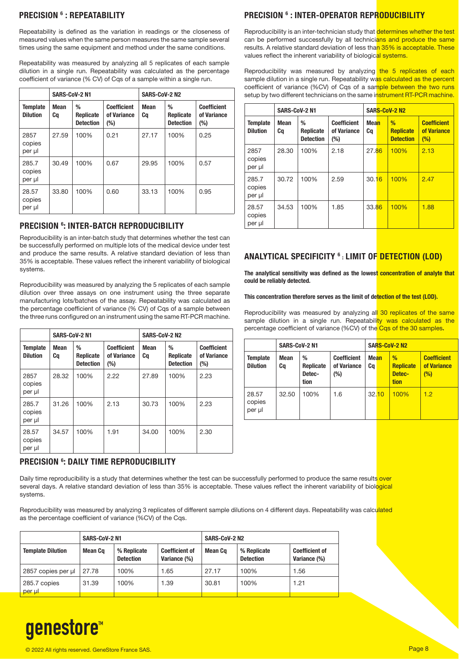#### **PRECISION 6 : REPEATABILITY**

Repeatability is defined as the variation in readings or the closeness of measured values when the same person measures the same sample several times using the same equipment and method under the same conditions.

Repeatability was measured by analyzing all 5 replicates of each sample dilution in a single run. Repeatability was calculated as the percentage coefficient of variance (% CV) of Cqs of a sample within a single run.

|                                    | <b>SARS-CoV-2 N1</b> |                                           |                                          | <b>SARS-CoV-2 N2</b> |                                    |                                          |
|------------------------------------|----------------------|-------------------------------------------|------------------------------------------|----------------------|------------------------------------|------------------------------------------|
| <b>Template</b><br><b>Dilution</b> | <b>Mean</b><br>Ca    | %<br><b>Replicate</b><br><b>Detection</b> | <b>Coefficient</b><br>of Variance<br>(%) | <b>Mean</b><br>Cq    | %<br>Replicate<br><b>Detection</b> | <b>Coefficient</b><br>of Variance<br>(%) |
| 2857<br>copies<br>per ul           | 27.59                | 100%                                      | 0.21                                     | 27.17                | 100%                               | 0.25                                     |
| 285.7<br>copies<br>per µl          | 30.49                | 100%                                      | 0.67                                     | 29.95                | 100%                               | 0.57                                     |
| 28.57<br>copies<br>per µl          | 33.80                | 100%                                      | 0.60                                     | 33.13                | 100%                               | 0.95                                     |

#### **PRECISION 6 : INTER-BATCH REPRODUCIBILITY**

Reproducibility is an inter-batch study that determines whether the test can be successfully performed on multiple lots of the medical device under test and produce the same results. A relative standard deviation of less than 35% is acceptable. These values reflect the inherent variability of biological systems.

Reproducibility was measured by analyzing the 5 replicates of each sample dilution over three assays on one instrument using the three separate manufacturing lots/batches of the assay. Repeatability was calculated as the percentage coefficient of variance (% CV) of Cgs of a sample between the three runs configured on an instrument using the same RT-PCR machine.

|                                    | SARS-CoV-2 N1     |                                    |                                             | <b>SARS-CoV-2 N2</b> |                                    |                                             |
|------------------------------------|-------------------|------------------------------------|---------------------------------------------|----------------------|------------------------------------|---------------------------------------------|
| <b>Template</b><br><b>Dilution</b> | <b>Mean</b><br>Ca | %<br>Replicate<br><b>Detection</b> | <b>Coefficient</b><br>of Variance<br>$(\%)$ | Mean<br>Ca           | %<br>Replicate<br><b>Detection</b> | <b>Coefficient</b><br>of Variance<br>$(\%)$ |
| 2857<br>copies<br>per ul           | 28.32             | 100%                               | 2.22                                        | 27.89                | 100%                               | 2.23                                        |
| 285.7<br>copies<br>per ul          | 31.26             | 100%                               | 2.13                                        | 30.73                | 100%                               | 2.23                                        |
| 28.57<br>copies<br>per µl          | 34.57             | 100%                               | 1.91                                        | 34.00                | 100%                               | 2.30                                        |

#### **PRECISION 6 : DAILY TIME REPRODUCIBILITY**

Daily time reproducibility is a study that determines whether the test can be successfully performed to produce the same results over several days. A relative standard deviation of less than 35% is acceptable. These values reflect the inherent variability of biological systems.

Reproducibility was measured by analyzing 3 replicates of different sample dilutions on 4 different days. Repeatability was calculated as the percentage coefficient of variance (%CV) of the Cqs.

|                          | SARS-CoV-2 N1 |                                 |                                       | <b>SARS-CoV-2 N2</b> |                                 |                                       |  |
|--------------------------|---------------|---------------------------------|---------------------------------------|----------------------|---------------------------------|---------------------------------------|--|
| <b>Template Dilution</b> | Mean Co       | % Replicate<br><b>Detection</b> | <b>Coefficient of</b><br>Variance (%) | Mean Cq              | % Replicate<br><b>Detection</b> | <b>Coefficient of</b><br>Variance (%) |  |
| 2857 copies per ul       | 27.78         | 100%                            | 1.65                                  | 27.17                | 100%                            | 1.56                                  |  |
| 285.7 copies<br>per ul   | 31.39         | 100%                            | 1.39                                  | 30.81                | 100%                            | 1.21                                  |  |

#### **PRECISION 6 : INTER-OPERATOR REPRODUCIBILITY**

Reproducibility is an inter-technician study that **determines whether the test** can be performed successfully by all technicians and produce the same results. A relative standard deviation of less than 35% is acceptable. These values reflect the inherent variability of biological systems.

Reproducibility was measured by analyzing the 5 replicates of each sample dilution in a single run. Repeatability was calculated as the percent coefficient of variance (%CV) of Cqs of a sample between the two runs setup by two different technicians on the same instrument RT-PCR machine.

|                                    | <b>SARS-CoV-2 N1</b> |                                    |                                          | SARS-CoV-2 N2     |  |                                           |                                          |
|------------------------------------|----------------------|------------------------------------|------------------------------------------|-------------------|--|-------------------------------------------|------------------------------------------|
| <b>Template</b><br><b>Dilution</b> | <b>Mean</b><br>Cq    | %<br>Replicate<br><b>Detection</b> | <b>Coefficient</b><br>of Variance<br>(%) | <b>Mean</b><br>Ca |  | %<br><b>Replicate</b><br><b>Detection</b> | <b>Coefficient</b><br>of Variance<br>(%) |
| 2857<br>copies<br>per µl           | 28.30                | 100%                               | 2.18                                     | 27.86             |  | 100%                                      | 2.13                                     |
| 285.7<br>copies<br>per ul          | 30.72                | 100%                               | 2.59                                     | 30.16             |  | 100%                                      | 2.47                                     |
| 28.57<br>copies<br>per µl          | 34.53                | 100%                               | 1.85                                     | 33.86             |  | 100%                                      | 1.88                                     |

#### **ANALYTICAL SPECIFICITY 6** : **LIMIT OF DETECTION (LOD)**

**The analytical sensitivity was defined as the lowest concentration of analyte that could be reliably detected.**

#### **This concentration therefore serves as the limit of detection of the test (LOD).**

Reproducibility was measured by analyzing all 30 replicates of the same sample dilution in a single run. Repeatability was calculated as the percentage coefficient of variance (%CV) of the Cqs of the 30 samples**.**

|                                    | <b>SARS-CoV-2 N1</b> |                                         |                                          |                   | <b>SARS-CoV-2 N2</b> |                                                     |                                          |
|------------------------------------|----------------------|-----------------------------------------|------------------------------------------|-------------------|----------------------|-----------------------------------------------------|------------------------------------------|
| <b>Template</b><br><b>Dilution</b> | Mean<br>Ca           | %<br><b>Replicate</b><br>Detec-<br>tion | <b>Coefficient</b><br>of Variance<br>(%) | <b>Mean</b><br>Ca |                      | $\frac{9}{6}$<br><b>Replicate</b><br>Detec-<br>tion | <b>Coefficient</b><br>of Variance<br>(%) |
| 28.57<br>copies<br>per µl          | 32.50                | 100%                                    | 1.6                                      | 32.10             |                      | 100%                                                | 1.2                                      |

# genestore<sup>™</sup>